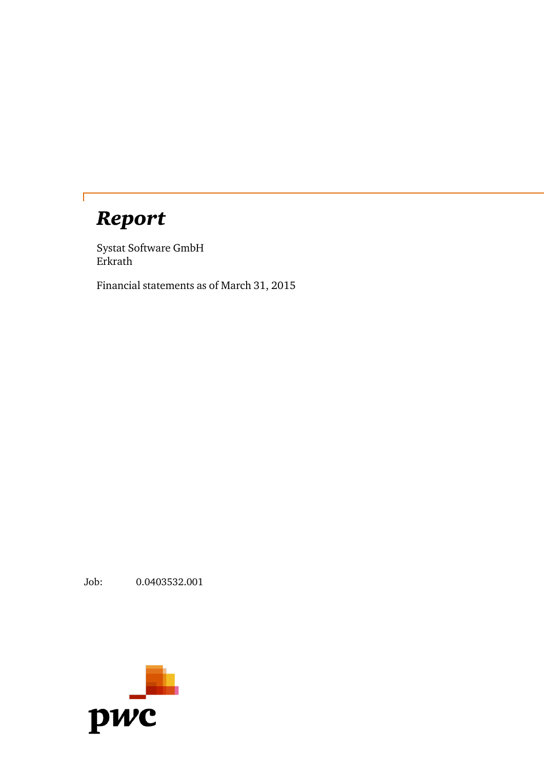# *Report*

 $\Gamma$ 

Systat Software GmbH Erkrath

Financial statements as of March 31, 2015

Job: 0.0403532.001

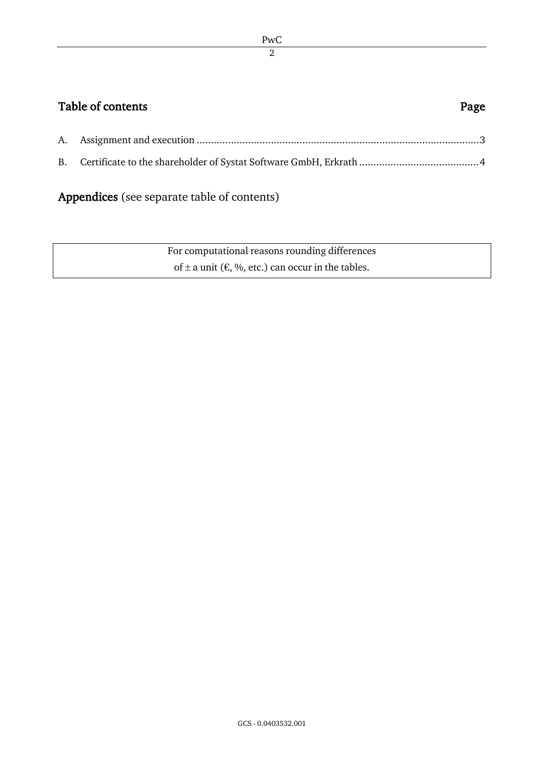# Table of contents **Page**

Appendices (see separate table of contents)

| For computational reasons rounding differences                   |
|------------------------------------------------------------------|
| of $\pm$ a unit ( $\epsilon$ , %, etc.) can occur in the tables. |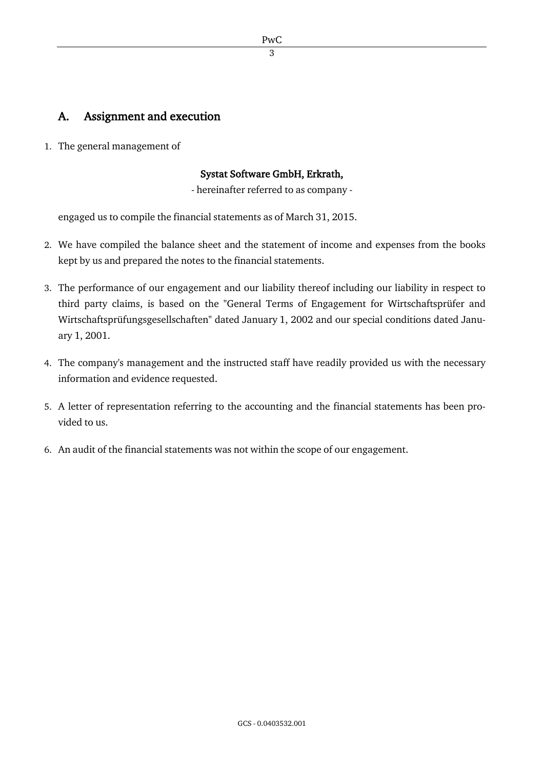### A. Assignment and execution

1. The general management of

#### Systat Software GmbH, Erkrath,

- hereinafter referred to as company -

engaged us to compile the financial statements as of March 31, 2015.

- 2. We have compiled the balance sheet and the statement of income and expenses from the books kept by us and prepared the notes to the financial statements.
- 3. The performance of our engagement and our liability thereof including our liability in respect to third party claims, is based on the "General Terms of Engagement for Wirtschaftsprüfer and Wirtschaftsprüfungsgesellschaften" dated January 1, 2002 and our special conditions dated January 1, 2001.
- 4. The company's management and the instructed staff have readily provided us with the necessary information and evidence requested.
- 5. A letter of representation referring to the accounting and the financial statements has been provided to us.
- 6. An audit of the financial statements was not within the scope of our engagement.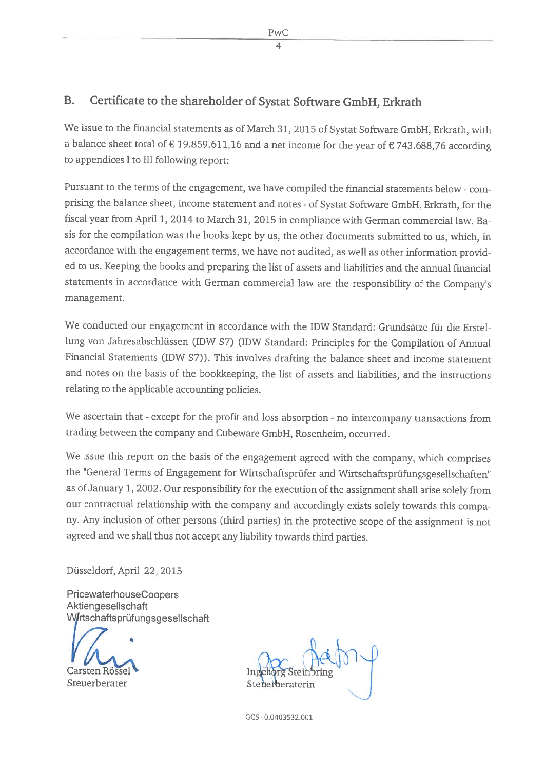## B. Certificate to the shareholder of Systat Software GmbH, Erkrath

We issue to the financial statements as of March 31, <sup>2015</sup> of Systat Software GmbH, Erkrath, with a balance sheet total of  $\epsilon$  19.859.611,16 and a net income for the year of  $\epsilon$  743.688,76 according to appendices <sup>1</sup> to III following report:

Pursuant to the terms of the engagement, we have compiled the financial statements below - comprising the balance sheet, income statement and notes - of Systat Software GmbH, Erkrath, for the fiscal year from April 1, <sup>2014</sup> to March 31, <sup>2015</sup> in compliance with German commercial law. Ba sis for the compilation was the books kept by us, the other documents submitted to us, which, in accordance with the engagement terms, we have not audited, as well as other information provided to us. Keeping the books and preparing the list of assets and liabiities and the annuai financial statements in accordance with German commercial law are the responsibiity of the Company's management.

We conducted our engagement in accordance with the IDW Standard: Grundsätze für die Erstel lung von Jahresabschlüssen (IDW S7) (IDW Standard: Principles for the Compilation of Annual Financial Statements (IDW S7)). This involves drafting the balance sheet and income statement and notes on the basis of the bookkeeping, the list of assets and liabiities, and the instructions relating to the applicable accounting policies.

We ascertain that - except for the profit and loss absorption - no intercompany transactions from trading between the company and Cubeware GmbH, Rosenheim, occurred.

We issue this report on the basis of the engagement agreed with the company, which comprises the "General Terms of Engagement for Wirtschaftsprüfer and Wirtschaftsprüfungsgesellschaften" as of January 1, 2002. Our responsibility for the execution of the assignment shall arise solely from our contractual relationship with the company and accordingly exists solely towards this company. Any inclusion of other persons (third parties) in the protective scope of the assignment is not agreed and we shall thus not accept any liabiity towards third parties.

Düsseldorf, April 22, 2015

PricewaterhouseCoopers Aktiengesellschaft Wirtschaftsprüfungsgesellschaft

Carsten Röss

Steuerberater Steuerberatering

GCS - O.O4O3532.OO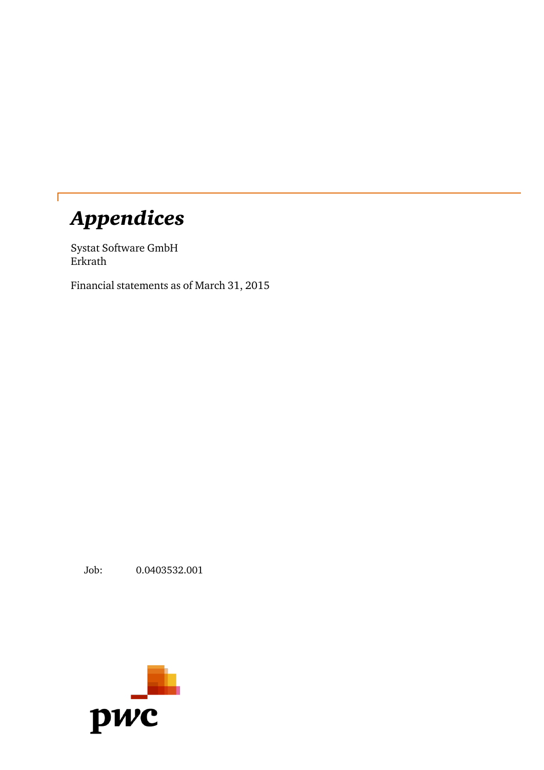# *Appendices*

Systat Software GmbH Erkrath

Financial statements as of March 31, 2015

Job: 0.0403532.001

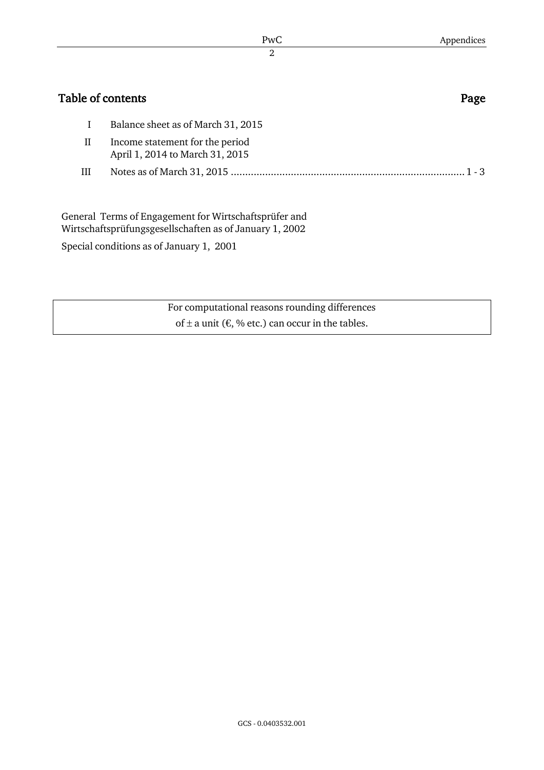| Table of contents |                                                                    |         |  |  |
|-------------------|--------------------------------------------------------------------|---------|--|--|
|                   | Balance sheet as of March 31, 2015                                 |         |  |  |
| П                 | Income statement for the period<br>April 1, 2014 to March 31, 2015 |         |  |  |
| Ш                 |                                                                    | $1 - 3$ |  |  |
|                   | General Terms of Engagement for Wirtschaftsprüfer and              |         |  |  |

Wirtschaftsprüfungsgesellschaften as of January 1, 2002

Special conditions as of January 1, 2001

For computational reasons rounding differences of  $\pm$  a unit ( $\epsilon$ , % etc.) can occur in the tables.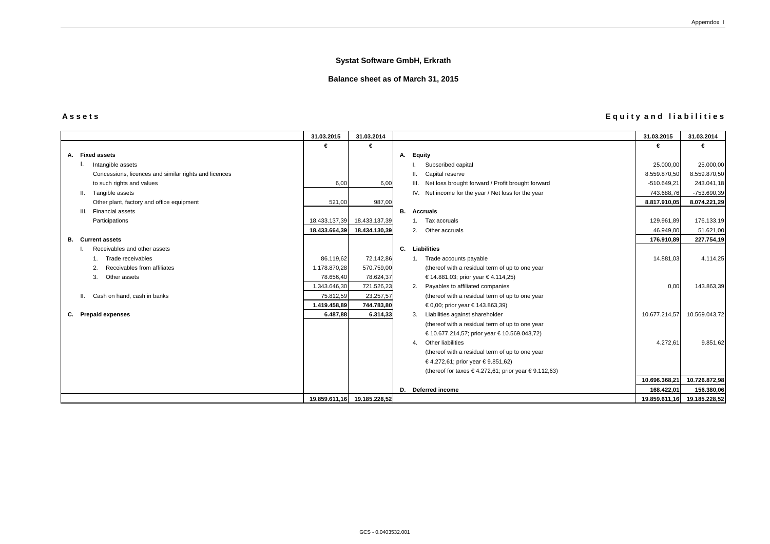# **A s s e t s E q u i t y a n d l i a b i l i t i e s**

|                                                       | 31.03.2015    | 31.03.2014                  |    |                                                        | 31.03.2015    | 31.03.2014    |
|-------------------------------------------------------|---------------|-----------------------------|----|--------------------------------------------------------|---------------|---------------|
|                                                       | €             | €                           |    |                                                        | €             | €             |
| A. Fixed assets                                       |               |                             |    | A. Equity                                              |               |               |
| Intangible assets                                     |               |                             |    | Subscribed capital                                     | 25.000,00     | 25.000,00     |
| Concessions, licences and similar rights and licences |               |                             |    | Capital reserve                                        | 8.559.870,50  | 8.559.870,50  |
| to such rights and values                             | 6,00          | 6,00                        |    | III. Net loss brought forward / Profit brought forward | $-510.649,21$ | 243.041,18    |
| Tangible assets<br>Ш.                                 |               |                             |    | IV. Net income for the year / Net loss for the year    | 743.688,76    | -753.690,39   |
| Other plant, factory and office equipment             | 521,00        | 987,00                      |    |                                                        | 8.817.910,05  | 8.074.221,29  |
| III. Financial assets                                 |               |                             |    | <b>B.</b> Accruals                                     |               |               |
| Participations                                        | 18.433.137,39 | 18.433.137,39               |    | 1. Tax accruals                                        | 129.961,89    | 176.133,19    |
|                                                       | 18.433.664,39 | 18.434.130,39               |    | 2. Other accruals                                      | 46.949,00     | 51.621,00     |
| <b>B.</b> Current assets                              |               |                             |    |                                                        | 176.910,89    | 227.754,19    |
| Receivables and other assets                          |               |                             | C. | <b>Liabilities</b>                                     |               |               |
| Trade receivables                                     | 86.119,62     | 72.142,86                   |    | 1. Trade accounts payable                              | 14.881,03     | 4.114,25      |
| Receivables from affiliates                           | 1.178.870,28  | 570.759,00                  |    | (thereof with a residual term of up to one year        |               |               |
| 3.<br>Other assets                                    | 78.656,40     | 78.624,37                   |    | € 14.881,03; prior year € 4.114,25)                    |               |               |
|                                                       | 1.343.646,30  | 721.526,23                  |    | Payables to affiliated companies<br>2.                 | 0,00          | 143.863,39    |
| Cash on hand, cash in banks<br>Ш.                     | 75.812,59     | 23.257,57                   |    | (thereof with a residual term of up to one year        |               |               |
|                                                       | 1.419.458,89  | 744.783,80                  |    | € 0,00; prior year € 143.863,39)                       |               |               |
| C. Prepaid expenses                                   | 6.487,88      | 6.314,33                    |    | Liabilities against shareholder<br>3.                  | 10.677.214,57 | 10.569.043,72 |
|                                                       |               |                             |    | (thereof with a residual term of up to one year        |               |               |
|                                                       |               |                             |    | € 10.677.214,57; prior year € 10.569.043,72)           |               |               |
|                                                       |               |                             |    | Other liabilities<br>4.                                | 4.272,61      | 9.851,62      |
|                                                       |               |                             |    | (thereof with a residual term of up to one year        |               |               |
|                                                       |               |                             |    | €4.272,61; prior year €9.851,62)                       |               |               |
|                                                       |               |                             |    | (thereof for taxes €4.272,61; prior year €9.112,63)    |               |               |
|                                                       |               |                             |    |                                                        | 10.696.368,21 | 10.726.872,98 |
|                                                       |               |                             |    | D. Deferred income                                     | 168.422,01    | 156.380,06    |
|                                                       |               | 19.859.611,16 19.185.228,52 |    |                                                        | 19.859.611,16 | 19.185.228,52 |

| 31.03.2015    | 31.03.2014    |
|---------------|---------------|
| €             | €             |
|               |               |
| 25.000,00     | 25.000,00     |
| 8.559.870,50  | 8.559.870,50  |
| $-510.649,21$ | 243.041,18    |
| 743.688,76    | -753.690,39   |
| 8.817.910,05  | 8.074.221,29  |
|               |               |
| 129.961,89    | 176.133,19    |
| 46.949,00     | 51.621,00     |
| 176.910,89    | 227.754,19    |
|               |               |
| 14.881,03     | 4.114,25      |
| 0,00          |               |
|               | 143.863,39    |
| 10.677.214,57 | 10.569.043,72 |
|               |               |
| 4.272,61      | 9.851,62      |
|               |               |
|               |               |
| 10.696.368,21 | 10.726.872,98 |
| 168.422,01    | 156.380,06    |
| 19.859.611.16 | 19.185.228.52 |

### **Systat Software GmbH, Erkrath**

# **Balance sheet as of March 31, 2015**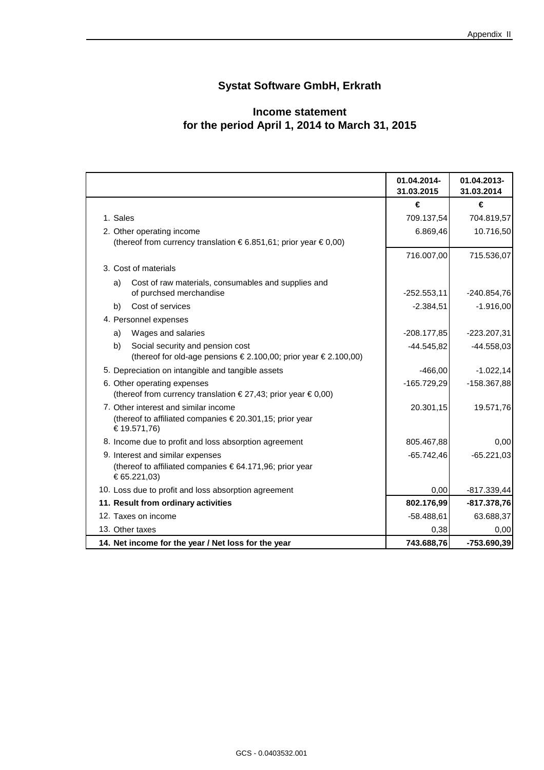### **Systat Software GmbH, Erkrath**

#### **for the period April 1, 2014 to March 31, 2015 Income statement**

|                                                                                                                | 01.04.2014-<br>31.03.2015 | 01.04.2013-<br>31.03.2014 |
|----------------------------------------------------------------------------------------------------------------|---------------------------|---------------------------|
|                                                                                                                | €                         | €                         |
| 1. Sales                                                                                                       | 709.137,54                | 704.819,57                |
| 2. Other operating income                                                                                      | 6.869,46                  | 10.716,50                 |
| (thereof from currency translation €6.851,61; prior year €0,00)                                                |                           |                           |
|                                                                                                                | 716.007,00                | 715.536,07                |
| 3. Cost of materials                                                                                           |                           |                           |
| Cost of raw materials, consumables and supplies and<br>a)                                                      |                           |                           |
| of purchsed merchandise                                                                                        | $-252.553,11$             | -240.854,76               |
| Cost of services<br>b)                                                                                         | $-2.384,51$               | $-1.916,00$               |
| 4. Personnel expenses                                                                                          |                           |                           |
| Wages and salaries<br>a)                                                                                       | $-208.177,85$             | $-223.207,31$             |
| b)<br>Social security and pension cost<br>(thereof for old-age pensions €2.100,00; prior year €2.100,00)       | $-44.545,82$              | $-44.558,03$              |
| 5. Depreciation on intangible and tangible assets                                                              | $-466,00$                 | $-1.022, 14$              |
| 6. Other operating expenses<br>(thereof from currency translation €27,43; prior year €0,00)                    | $-165.729,29$             | -158.367,88               |
| 7. Other interest and similar income<br>(thereof to affiliated companies €20.301,15; prior year<br>€19.571,76) | 20.301,15                 | 19.571,76                 |
| 8. Income due to profit and loss absorption agreement                                                          | 805.467,88                | 0,00                      |
| 9. Interest and similar expenses                                                                               | $-65.742,46$              | $-65.221,03$              |
| (thereof to affiliated companies €64.171,96; prior year<br>€ 65.221,03)                                        |                           |                           |
| 10. Loss due to profit and loss absorption agreement                                                           | 0,00                      | $-817.339,44$             |
| 11. Result from ordinary activities                                                                            | 802.176,99                | $-817.378,76$             |
| 12. Taxes on income                                                                                            | $-58.488,61$              | 63.688,37                 |
| 13. Other taxes                                                                                                | 0,38                      | 0,00                      |
| 14. Net income for the year / Net loss for the year                                                            | 743.688,76                | $-753.690,39$             |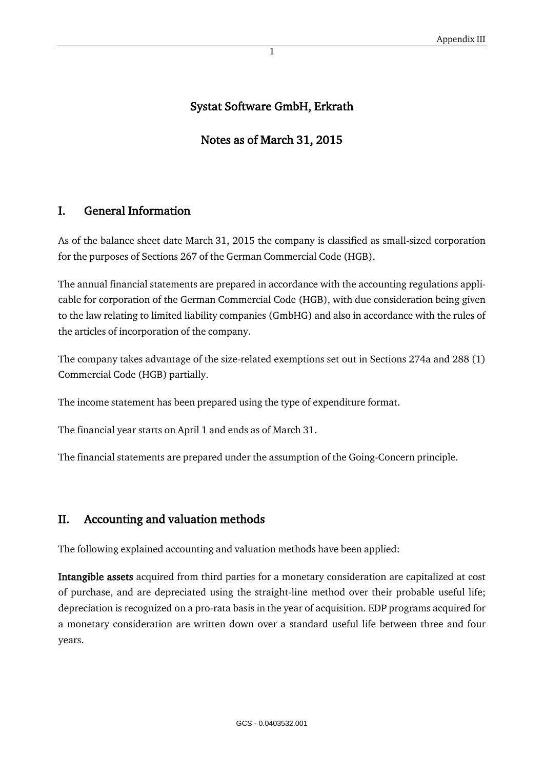#### Systat Software GmbH, Erkrath

#### Notes as of March 31, 2015

#### I. General Information

As of the balance sheet date March 31, 2015 the company is classified as small-sized corporation for the purposes of Sections 267 of the German Commercial Code (HGB).

The annual financial statements are prepared in accordance with the accounting regulations applicable for corporation of the German Commercial Code (HGB), with due consideration being given to the law relating to limited liability companies (GmbHG) and also in accordance with the rules of the articles of incorporation of the company.

The company takes advantage of the size-related exemptions set out in Sections 274a and 288 (1) Commercial Code (HGB) partially.

The income statement has been prepared using the type of expenditure format.

The financial year starts on April 1 and ends as of March 31.

The financial statements are prepared under the assumption of the Going-Concern principle.

#### II. Accounting and valuation methods

The following explained accounting and valuation methods have been applied:

Intangible assets acquired from third parties for a monetary consideration are capitalized at cost of purchase, and are depreciated using the straight-line method over their probable useful life; depreciation is recognized on a pro-rata basis in the year of acquisition. EDP programs acquired for a monetary consideration are written down over a standard useful life between three and four years.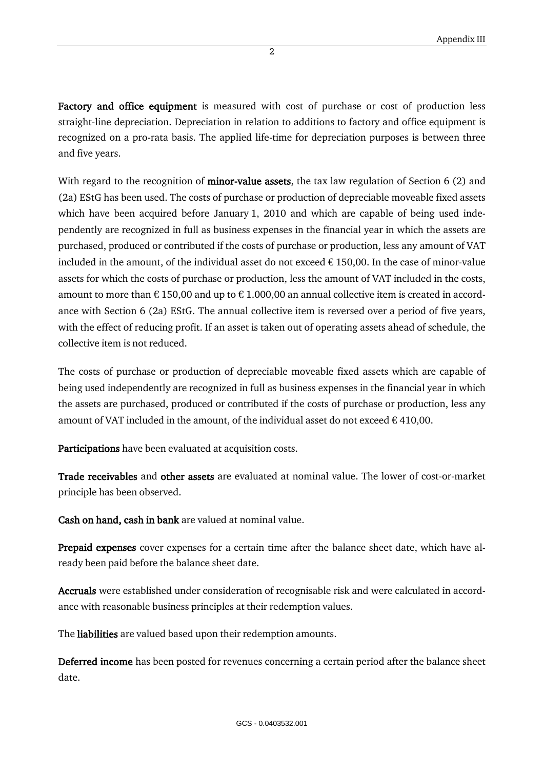Factory and office equipment is measured with cost of purchase or cost of production less straight-line depreciation. Depreciation in relation to additions to factory and office equipment is recognized on a pro-rata basis. The applied life-time for depreciation purposes is between three and five years.

With regard to the recognition of **minor-value assets**, the tax law regulation of Section  $6(2)$  and (2a) EStG has been used. The costs of purchase or production of depreciable moveable fixed assets which have been acquired before January 1, 2010 and which are capable of being used independently are recognized in full as business expenses in the financial year in which the assets are purchased, produced or contributed if the costs of purchase or production, less any amount of VAT included in the amount, of the individual asset do not exceed  $\epsilon$  150,00. In the case of minor-value assets for which the costs of purchase or production, less the amount of VAT included in the costs, amount to more than  $\epsilon$  150,00 and up to  $\epsilon$  1.000,00 an annual collective item is created in accordance with Section 6 (2a) EStG. The annual collective item is reversed over a period of five years, with the effect of reducing profit. If an asset is taken out of operating assets ahead of schedule, the collective item is not reduced.

The costs of purchase or production of depreciable moveable fixed assets which are capable of being used independently are recognized in full as business expenses in the financial year in which the assets are purchased, produced or contributed if the costs of purchase or production, less any amount of VAT included in the amount, of the individual asset do not exceed  $\epsilon$  410,00.

Participations have been evaluated at acquisition costs.

Trade receivables and other assets are evaluated at nominal value. The lower of cost-or-market principle has been observed.

Cash on hand, cash in bank are valued at nominal value.

Prepaid expenses cover expenses for a certain time after the balance sheet date, which have already been paid before the balance sheet date.

Accruals were established under consideration of recognisable risk and were calculated in accordance with reasonable business principles at their redemption values.

The liabilities are valued based upon their redemption amounts.

Deferred income has been posted for revenues concerning a certain period after the balance sheet date.

2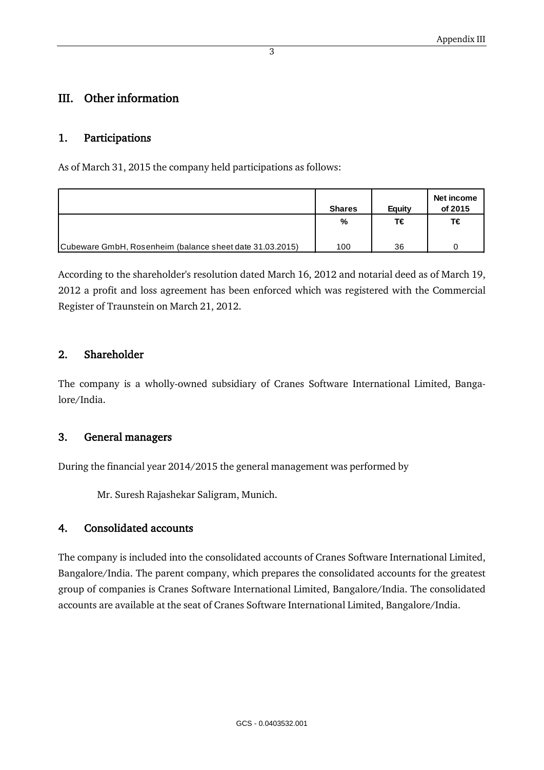#### III. Other information

#### 1. Participations

As of March 31, 2015 the company held participations as follows:

|                                                          | <b>Shares</b> | Eauity | Net income<br>of 2015 |
|----------------------------------------------------------|---------------|--------|-----------------------|
|                                                          | %             | T€     | Τ€                    |
| Cubeware GmbH, Rosenheim (balance sheet date 31.03.2015) | 100           | 36     |                       |

According to the shareholder's resolution dated March 16, 2012 and notarial deed as of March 19, 2012 a profit and loss agreement has been enforced which was registered with the Commercial Register of Traunstein on March 21, 2012.

#### 2. Shareholder

The company is a wholly-owned subsidiary of Cranes Software International Limited, Bangalore/India.

#### 3. General managers

During the financial year 2014/2015 the general management was performed by

Mr. Suresh Rajashekar Saligram, Munich.

#### 4. Consolidated accounts

The company is included into the consolidated accounts of Cranes Software International Limited, Bangalore/India. The parent company, which prepares the consolidated accounts for the greatest group of companies is Cranes Software International Limited, Bangalore/India. The consolidated accounts are available at the seat of Cranes Software International Limited, Bangalore/India.